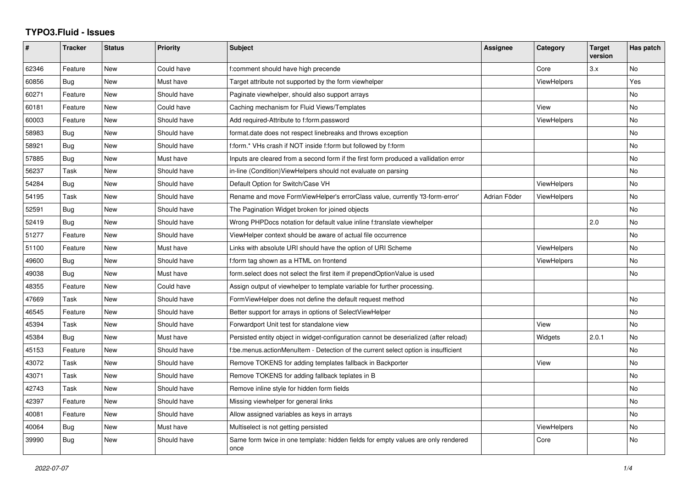## **TYPO3.Fluid - Issues**

| #     | <b>Tracker</b> | <b>Status</b> | <b>Priority</b> | <b>Subject</b>                                                                            | <b>Assignee</b> | Category           | <b>Target</b><br>version | Has patch |
|-------|----------------|---------------|-----------------|-------------------------------------------------------------------------------------------|-----------------|--------------------|--------------------------|-----------|
| 62346 | Feature        | <b>New</b>    | Could have      | f:comment should have high precende                                                       |                 | Core               | 3.x                      | No        |
| 60856 | Bug            | <b>New</b>    | Must have       | Target attribute not supported by the form viewhelper                                     |                 | ViewHelpers        |                          | Yes       |
| 60271 | Feature        | New           | Should have     | Paginate viewhelper, should also support arrays                                           |                 |                    |                          | No        |
| 60181 | Feature        | <b>New</b>    | Could have      | Caching mechanism for Fluid Views/Templates                                               |                 | View               |                          | No        |
| 60003 | Feature        | New           | Should have     | Add required-Attribute to f:form.password                                                 |                 | <b>ViewHelpers</b> |                          | No        |
| 58983 | Bug            | New           | Should have     | format.date does not respect linebreaks and throws exception                              |                 |                    |                          | <b>No</b> |
| 58921 | Bug            | New           | Should have     | f:form.* VHs crash if NOT inside f:form but followed by f:form                            |                 |                    |                          | No        |
| 57885 | Bug            | <b>New</b>    | Must have       | Inputs are cleared from a second form if the first form produced a vallidation error      |                 |                    |                          | <b>No</b> |
| 56237 | Task           | New           | Should have     | in-line (Condition) View Helpers should not evaluate on parsing                           |                 |                    |                          | No        |
| 54284 | Bug            | <b>New</b>    | Should have     | Default Option for Switch/Case VH                                                         |                 | <b>ViewHelpers</b> |                          | <b>No</b> |
| 54195 | Task           | <b>New</b>    | Should have     | Rename and move FormViewHelper's errorClass value, currently 'f3-form-error'              | Adrian Föder    | ViewHelpers        |                          | No        |
| 52591 | Bug            | New           | Should have     | The Pagination Widget broken for joined objects                                           |                 |                    |                          | No        |
| 52419 | Bug            | New           | Should have     | Wrong PHPDocs notation for default value inline f:translate viewhelper                    |                 |                    | 2.0                      | <b>No</b> |
| 51277 | Feature        | <b>New</b>    | Should have     | ViewHelper context should be aware of actual file occurrence                              |                 |                    |                          | <b>No</b> |
| 51100 | Feature        | New           | Must have       | Links with absolute URI should have the option of URI Scheme                              |                 | <b>ViewHelpers</b> |                          | No        |
| 49600 | Bug            | <b>New</b>    | Should have     | f:form tag shown as a HTML on frontend                                                    |                 | <b>ViewHelpers</b> |                          | No        |
| 49038 | Bug            | <b>New</b>    | Must have       | form.select does not select the first item if prependOptionValue is used                  |                 |                    |                          | No        |
| 48355 | Feature        | New           | Could have      | Assign output of viewhelper to template variable for further processing.                  |                 |                    |                          |           |
| 47669 | Task           | New           | Should have     | FormViewHelper does not define the default request method                                 |                 |                    |                          | No        |
| 46545 | Feature        | <b>New</b>    | Should have     | Better support for arrays in options of SelectViewHelper                                  |                 |                    |                          | <b>No</b> |
| 45394 | Task           | New           | Should have     | Forwardport Unit test for standalone view                                                 |                 | View               |                          | No        |
| 45384 | Bug            | <b>New</b>    | Must have       | Persisted entity object in widget-configuration cannot be deserialized (after reload)     |                 | Widgets            | 2.0.1                    | No        |
| 45153 | Feature        | <b>New</b>    | Should have     | f:be.menus.actionMenuItem - Detection of the current select option is insufficient        |                 |                    |                          | No        |
| 43072 | Task           | New           | Should have     | Remove TOKENS for adding templates fallback in Backporter                                 |                 | View               |                          | No        |
| 43071 | Task           | New           | Should have     | Remove TOKENS for adding fallback teplates in B                                           |                 |                    |                          | No        |
| 42743 | Task           | <b>New</b>    | Should have     | Remove inline style for hidden form fields                                                |                 |                    |                          | No        |
| 42397 | Feature        | New           | Should have     | Missing viewhelper for general links                                                      |                 |                    |                          | <b>No</b> |
| 40081 | Feature        | New           | Should have     | Allow assigned variables as keys in arrays                                                |                 |                    |                          | <b>No</b> |
| 40064 | Bug            | <b>New</b>    | Must have       | Multiselect is not getting persisted                                                      |                 | <b>ViewHelpers</b> |                          | <b>No</b> |
| 39990 | Bug            | <b>New</b>    | Should have     | Same form twice in one template: hidden fields for empty values are only rendered<br>once |                 | Core               |                          | No        |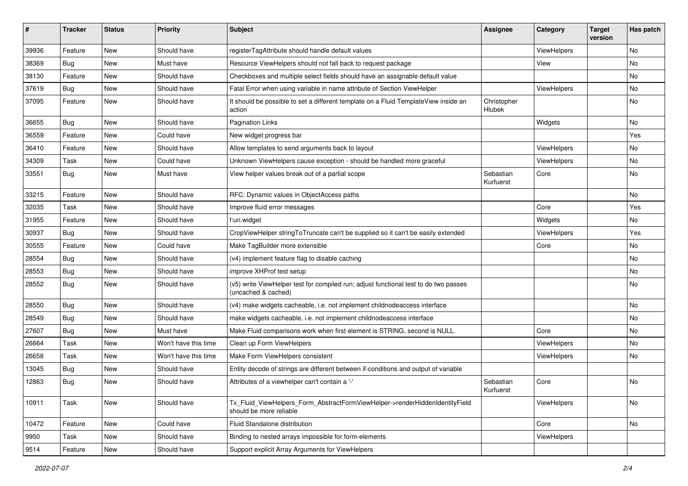| ∦     | <b>Tracker</b> | <b>Status</b> | Priority             | Subject                                                                                                     | <b>Assignee</b>        | Category           | <b>Target</b><br>version | Has patch |
|-------|----------------|---------------|----------------------|-------------------------------------------------------------------------------------------------------------|------------------------|--------------------|--------------------------|-----------|
| 39936 | Feature        | New           | Should have          | registerTagAttribute should handle default values                                                           |                        | ViewHelpers        |                          | <b>No</b> |
| 38369 | Bug            | New           | Must have            | Resource ViewHelpers should not fall back to request package                                                |                        | View               |                          | No        |
| 38130 | Feature        | New           | Should have          | Checkboxes and multiple select fields should have an assignable default value                               |                        |                    |                          | No        |
| 37619 | Bug            | New           | Should have          | Fatal Error when using variable in name attribute of Section ViewHelper                                     |                        | ViewHelpers        |                          | No        |
| 37095 | Feature        | New           | Should have          | It should be possible to set a different template on a Fluid TemplateView inside an<br>action               | Christopher<br>Hlubek  |                    |                          | No        |
| 36655 | Bug            | New           | Should have          | <b>Pagination Links</b>                                                                                     |                        | Widgets            |                          | No        |
| 36559 | Feature        | New           | Could have           | New widget progress bar                                                                                     |                        |                    |                          | Yes       |
| 36410 | Feature        | New           | Should have          | Allow templates to send arguments back to layout                                                            |                        | ViewHelpers        |                          | No        |
| 34309 | Task           | New           | Could have           | Unknown ViewHelpers cause exception - should be handled more graceful                                       |                        | <b>ViewHelpers</b> |                          | No        |
| 33551 | <b>Bug</b>     | New           | Must have            | View helper values break out of a partial scope                                                             | Sebastian<br>Kurfuerst | Core               |                          | No        |
| 33215 | Feature        | New           | Should have          | RFC: Dynamic values in ObjectAccess paths                                                                   |                        |                    |                          | No        |
| 32035 | Task           | <b>New</b>    | Should have          | Improve fluid error messages                                                                                |                        | Core               |                          | Yes       |
| 31955 | Feature        | New           | Should have          | f:uri.widget                                                                                                |                        | Widgets            |                          | No        |
| 30937 | <b>Bug</b>     | New           | Should have          | CropViewHelper stringToTruncate can't be supplied so it can't be easily extended                            |                        | ViewHelpers        |                          | Yes       |
| 30555 | Feature        | New           | Could have           | Make TagBuilder more extensible                                                                             |                        | Core               |                          | No        |
| 28554 | Bug            | New           | Should have          | (v4) implement feature flag to disable caching                                                              |                        |                    |                          | No        |
| 28553 | Bug            | New           | Should have          | improve XHProf test setup                                                                                   |                        |                    |                          | <b>No</b> |
| 28552 | Bug            | New           | Should have          | (v5) write ViewHelper test for compiled run; adjust functional test to do two passes<br>(uncached & cached) |                        |                    |                          | No        |
| 28550 | Bug            | New           | Should have          | (v4) make widgets cacheable, i.e. not implement childnodeaccess interface                                   |                        |                    |                          | No        |
| 28549 | Bug            | New           | Should have          | make widgets cacheable, i.e. not implement childnodeaccess interface                                        |                        |                    |                          | No        |
| 27607 | Bug            | New           | Must have            | Make Fluid comparisons work when first element is STRING, second is NULL.                                   |                        | Core               |                          | No        |
| 26664 | Task           | New           | Won't have this time | Clean up Form ViewHelpers                                                                                   |                        | ViewHelpers        |                          | <b>No</b> |
| 26658 | Task           | New           | Won't have this time | Make Form ViewHelpers consistent                                                                            |                        | ViewHelpers        |                          | No        |
| 13045 | Bug            | New           | Should have          | Entity decode of strings are different between if-conditions and output of variable                         |                        |                    |                          |           |
| 12863 | Bug            | New           | Should have          | Attributes of a viewhelper can't contain a '-'                                                              | Sebastian<br>Kurfuerst | Core               |                          | No        |
| 10911 | Task           | New           | Should have          | Tx_Fluid_ViewHelpers_Form_AbstractFormViewHelper->renderHiddenIdentityField<br>should be more reliable      |                        | ViewHelpers        |                          | No        |
| 10472 | Feature        | New           | Could have           | Fluid Standalone distribution                                                                               |                        | Core               |                          | No        |
| 9950  | Task           | New           | Should have          | Binding to nested arrays impossible for form-elements                                                       |                        | ViewHelpers        |                          |           |
| 9514  | Feature        | New           | Should have          | Support explicit Array Arguments for ViewHelpers                                                            |                        |                    |                          |           |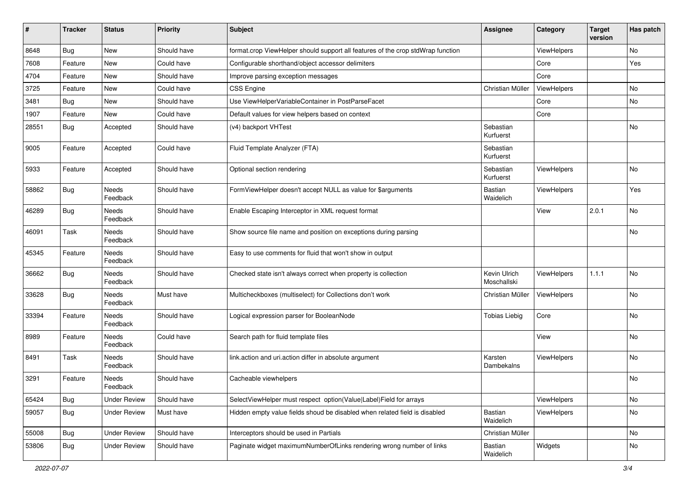| ∦     | <b>Tracker</b> | <b>Status</b>            | <b>Priority</b> | Subject                                                                         | Assignee                    | Category           | <b>Target</b><br>version | Has patch |
|-------|----------------|--------------------------|-----------------|---------------------------------------------------------------------------------|-----------------------------|--------------------|--------------------------|-----------|
| 8648  | Bug            | New                      | Should have     | format.crop ViewHelper should support all features of the crop stdWrap function |                             | <b>ViewHelpers</b> |                          | No        |
| 7608  | Feature        | New                      | Could have      | Configurable shorthand/object accessor delimiters                               |                             | Core               |                          | Yes       |
| 4704  | Feature        | New                      | Should have     | Improve parsing exception messages                                              |                             | Core               |                          |           |
| 3725  | Feature        | New                      | Could have      | CSS Engine                                                                      | Christian Müller            | ViewHelpers        |                          | No        |
| 3481  | <b>Bug</b>     | New                      | Should have     | Use ViewHelperVariableContainer in PostParseFacet                               |                             | Core               |                          | No        |
| 1907  | Feature        | New                      | Could have      | Default values for view helpers based on context                                |                             | Core               |                          |           |
| 28551 | Bug            | Accepted                 | Should have     | (v4) backport VHTest                                                            | Sebastian<br>Kurfuerst      |                    |                          | No        |
| 9005  | Feature        | Accepted                 | Could have      | Fluid Template Analyzer (FTA)                                                   | Sebastian<br>Kurfuerst      |                    |                          |           |
| 5933  | Feature        | Accepted                 | Should have     | Optional section rendering                                                      | Sebastian<br>Kurfuerst      | ViewHelpers        |                          | No        |
| 58862 | Bug            | Needs<br>Feedback        | Should have     | FormViewHelper doesn't accept NULL as value for \$arguments                     | <b>Bastian</b><br>Waidelich | ViewHelpers        |                          | Yes       |
| 46289 | Bug            | Needs<br>Feedback        | Should have     | Enable Escaping Interceptor in XML request format                               |                             | View               | 2.0.1                    | No        |
| 46091 | Task           | <b>Needs</b><br>Feedback | Should have     | Show source file name and position on exceptions during parsing                 |                             |                    |                          | No        |
| 45345 | Feature        | Needs<br>Feedback        | Should have     | Easy to use comments for fluid that won't show in output                        |                             |                    |                          |           |
| 36662 | Bug            | Needs<br>Feedback        | Should have     | Checked state isn't always correct when property is collection                  | Kevin Ulrich<br>Moschallski | ViewHelpers        | 1.1.1                    | No        |
| 33628 | Bug            | Needs<br>Feedback        | Must have       | Multicheckboxes (multiselect) for Collections don't work                        | Christian Müller            | ViewHelpers        |                          | No        |
| 33394 | Feature        | Needs<br>Feedback        | Should have     | Logical expression parser for BooleanNode                                       | <b>Tobias Liebig</b>        | Core               |                          | No        |
| 8989  | Feature        | Needs<br>Feedback        | Could have      | Search path for fluid template files                                            |                             | View               |                          | No        |
| 8491  | Task           | Needs<br>Feedback        | Should have     | link.action and uri.action differ in absolute argument                          | Karsten<br>Dambekalns       | ViewHelpers        |                          | No        |
| 3291  | Feature        | Needs<br>Feedback        | Should have     | Cacheable viewhelpers                                                           |                             |                    |                          | No        |
| 65424 | Bug            | <b>Under Review</b>      | Should have     | SelectViewHelper must respect option(Value Label)Field for arrays               |                             | ViewHelpers        |                          | No        |
| 59057 | Bug            | <b>Under Review</b>      | Must have       | Hidden empty value fields shoud be disabled when related field is disabled      | Bastian<br>Waidelich        | <b>ViewHelpers</b> |                          | No        |
| 55008 | <b>Bug</b>     | <b>Under Review</b>      | Should have     | Interceptors should be used in Partials                                         | Christian Müller            |                    |                          | No        |
| 53806 | Bug            | <b>Under Review</b>      | Should have     | Paginate widget maximumNumberOfLinks rendering wrong number of links            | Bastian<br>Waidelich        | Widgets            |                          | No        |